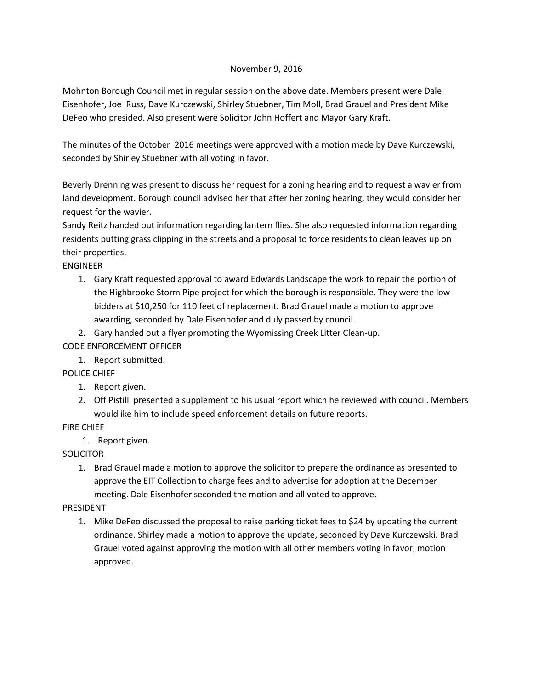## November 9, 2016

Mohnton Borough Council met in regular session on the above date. Members present were Dale Eisenhofer, Joe Russ, Dave Kurczewski, Shirley Stuebner, Tim Moll, Brad Grauel and President Mike DeFeo who presided. Also present were Solicitor John Hoffert and Mayor Gary Kraft.

The minutes of the October 2016 meetings were approved with a motion made by Dave Kurczewski, seconded by Shirley Stuebner with all voting in favor.

Beverly Drenning was present to discuss her request for a zoning hearing and to request a wavier from land development. Borough council advised her that after her zoning hearing, they would consider her request for the wavier.

Sandy Reitz handed out information regarding lantern flies. She also requested information regarding residents putting grass clipping in the streets and a proposal to force residents to clean leaves up on their properties.

ENGINEER

- 1. Gary Kraft requested approval to award Edwards Landscape the work to repair the portion of the Highbrooke Storm Pipe project for which the borough is responsible. They were the low bidders at \$10,250 for 110 feet of replacement. Brad Grauel made a motion to approve awarding, seconded by Dale Eisenhofer and duly passed by council.
- 2. Gary handed out a flyer promoting the Wyomissing Creek Litter Clean-up.

CODE ENFORCEMENT OFFICER

1. Report submitted.

POLICE CHIEF

- 1. Report given.
- 2. Off Pistilli presented a supplement to his usual report which he reviewed with council. Members would ike him to include speed enforcement details on future reports.

FIRE CHIEF

1. Report given.

**SOLICITOR** 

1. Brad Grauel made a motion to approve the solicitor to prepare the ordinance as presented to approve the EIT Collection to charge fees and to advertise for adoption at the December meeting. Dale Eisenhofer seconded the motion and all voted to approve.

## PRESIDENT

1. Mike DeFeo discussed the proposal to raise parking ticket fees to \$24 by updating the current ordinance. Shirley made a motion to approve the update, seconded by Dave Kurczewski. Brad Grauel voted against approving the motion with all other members voting in favor, motion approved.